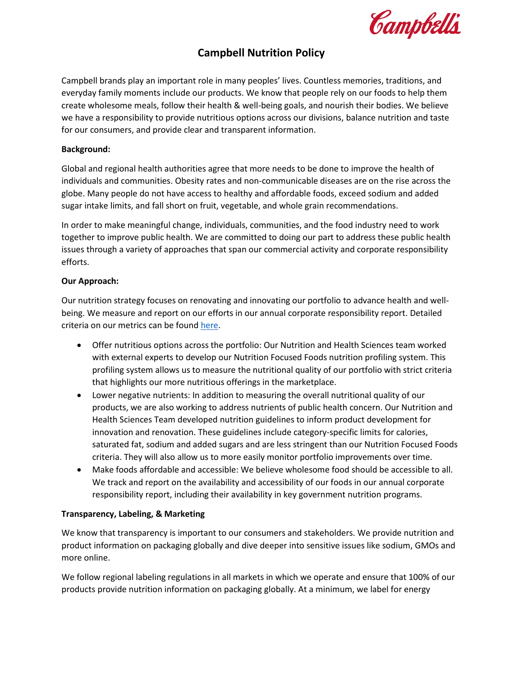Campbells

# **Campbell Nutrition Policy**

Campbell brands play an important role in many peoples' lives. Countless memories, traditions, and everyday family moments include our products. We know that people rely on our foods to help them create wholesome meals, follow their health & well-being goals, and nourish their bodies. We believe we have a responsibility to provide nutritious options across our divisions, balance nutrition and taste for our consumers, and provide clear and transparent information.

#### **Background:**

Global and regional health authorities agree that more needs to be done to improve the health of individuals and communities. Obesity rates and non-communicable diseases are on the rise across the globe. Many people do not have access to healthy and affordable foods, exceed sodium and added sugar intake limits, and fall short on fruit, vegetable, and whole grain recommendations.

In order to make meaningful change, individuals, communities, and the food industry need to work together to improve public health. We are committed to doing our part to address these public health issues through a variety of approaches that span our commercial activity and corporate responsibility efforts.

#### **Our Approach:**

Our nutrition strategy focuses on renovating and innovating our portfolio to advance health and wellbeing. We measure and report on our efforts in our annual corporate responsibility report. Detailed criteria on our metrics can be found [here.](https://stage.campbellsoupcompany.com/wp-content/uploads/2022/03/Nutrition-Reporting-Metrics-Criteria.pdf)

- Offer nutritious options across the portfolio: Our Nutrition and Health Sciences team worked with external experts to develop our Nutrition Focused Foods nutrition profiling system. This profiling system allows us to measure the nutritional quality of our portfolio with strict criteria that highlights our more nutritious offerings in the marketplace.
- Lower negative nutrients: In addition to measuring the overall nutritional quality of our products, we are also working to address nutrients of public health concern. Our Nutrition and Health Sciences Team developed nutrition guidelines to inform product development for innovation and renovation. These guidelines include category-specific limits for calories, saturated fat, sodium and added sugars and are less stringent than our Nutrition Focused Foods criteria. They will also allow us to more easily monitor portfolio improvements over time.
- Make foods affordable and accessible: We believe wholesome food should be accessible to all. We track and report on the availability and accessibility of our foods in our annual corporate responsibility report, including their availability in key government nutrition programs.

#### **Transparency, Labeling, & Marketing**

We know that transparency is important to our consumers and stakeholders. We provide nutrition and product information on packaging globally and dive deeper into sensitive issues like sodium, GMOs and more online.

We follow regional labeling regulations in all markets in which we operate and ensure that 100% of our products provide nutrition information on packaging globally. At a minimum, we label for energy